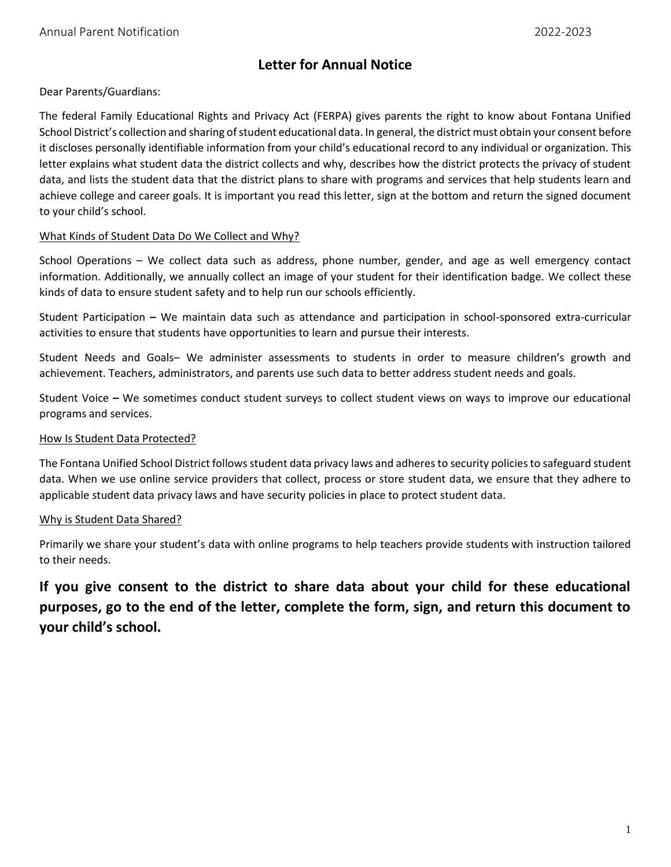# **Letter for Annual Notice**

Dear Parents/Guardians:

The federal Family Educational Rights and Privacy Act (FERPA) gives parents the right to know about Fontana Unified School District's collection and sharing of student educational data. In general, the district must obtain your consent before it discloses personally identifiable information from your child's educational record to any individual or organization. This letter explains what student data the district collects and why, describes how the district protects the privacy of student data, and lists the student data that the district plans to share with programs and services that help students learn and achieve college and career goals. It is important you read this letter, sign at the bottom and return the signed document to your child's school.

### What Kinds of Student Data Do We Collect and Why?

School Operations – We collect data such as address, phone number, gender, and age as well emergency contact information. Additionally, we annually collect an image of your student for their identification badge. We collect these kinds of data to ensure student safety and to help run our schools efficiently.

Student Participation **–** We maintain data such as attendance and participation in school-sponsored extra-curricular activities to ensure that students have opportunities to learn and pursue their interests.

Student Needs and Goals– We administer assessments to students in order to measure children's growth and achievement. Teachers, administrators, and parents use such data to better address student needs and goals.

Student Voice **–** We sometimes conduct student surveys to collect student views on ways to improve our educational programs and services.

### How Is Student Data Protected?

The Fontana Unified School District follows student data privacy laws and adheresto security policies to safeguard student data. When we use online service providers that collect, process or store student data, we ensure that they adhere to applicable student data privacy laws and have security policies in place to protect student data.

# Why is Student Data Shared?

Primarily we share your student's data with online programs to help teachers provide students with instruction tailored to their needs.

**If you give consent to the district to share data about your child for these educational purposes, go to the end of the letter, complete the form, sign, and return this document to your child's school.**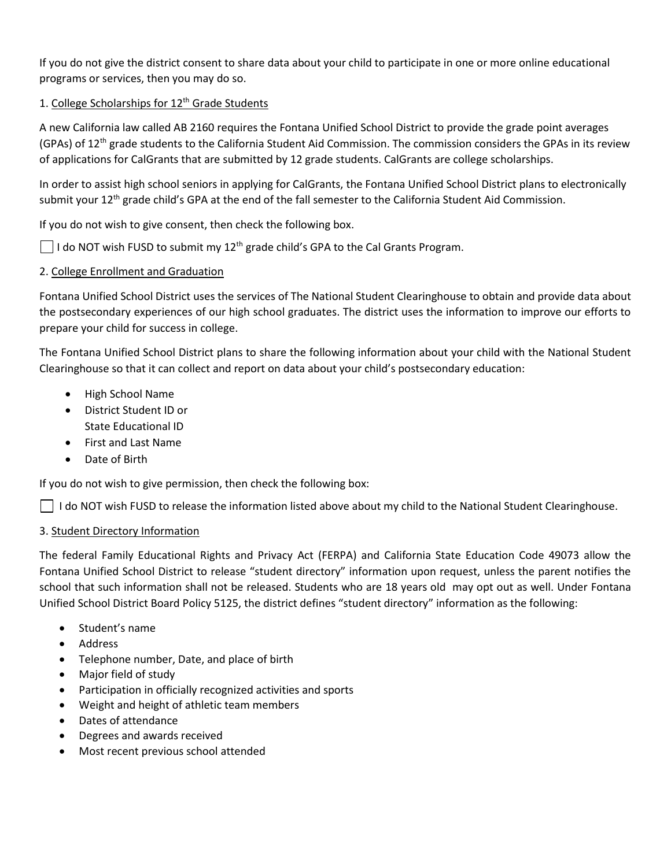If you do not give the district consent to share data about your child to participate in one or more online educational programs or services, then you may do so.

# 1. College Scholarships for 12<sup>th</sup> Grade Students

A new California law called AB 2160 requires the Fontana Unified School District to provide the grade point averages (GPAs) of 12<sup>th</sup> grade students to the California Student Aid Commission. The commission considers the GPAs in its review of applications for CalGrants that are submitted by 12 grade students. CalGrants are college scholarships.

In order to assist high school seniors in applying for CalGrants, the Fontana Unified School District plans to electronically submit your  $12^{th}$  grade child's GPA at the end of the fall semester to the California Student Aid Commission.

If you do not wish to give consent, then check the following box.

 $\Box$  I do NOT wish FUSD to submit my 12<sup>th</sup> grade child's GPA to the Cal Grants Program.

# 2. College Enrollment and Graduation

Fontana Unified School District uses the services of The National Student Clearinghouse to obtain and provide data about the postsecondary experiences of our high school graduates. The district uses the information to improve our efforts to prepare your child for success in college.

The Fontana Unified School District plans to share the following information about your child with the National Student Clearinghouse so that it can collect and report on data about your child's postsecondary education:

- High School Name
- District Student ID or State Educational ID
- First and Last Name
- Date of Birth

If you do not wish to give permission, then check the following box:

 $\Box$  I do NOT wish FUSD to release the information listed above about my child to the National Student Clearinghouse.

# 3. Student Directory Information

The federal Family Educational Rights and Privacy Act (FERPA) and California State Education Code 49073 allow the Fontana Unified School District to release "student directory" information upon request, unless the parent notifies the school that such information shall not be released. Students who are 18 years old may opt out as well. Under Fontana Unified School District Board Policy 5125, the district defines "student directory" information as the following:

- Student's name
- Address
- Telephone number, Date, and place of birth
- Major field of study
- Participation in officially recognized activities and sports
- Weight and height of athletic team members
- Dates of attendance
- Degrees and awards received
- Most recent previous school attended